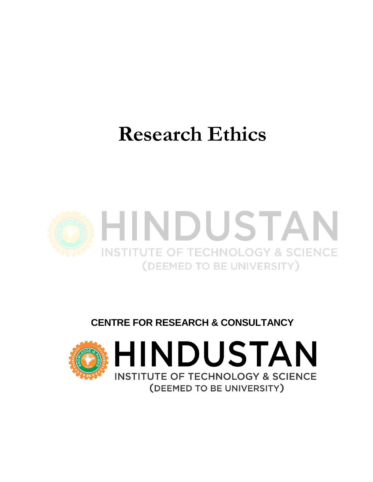# **Research Ethics**



## **CENTRE FOR RESEARCH & CONSULTANCY**

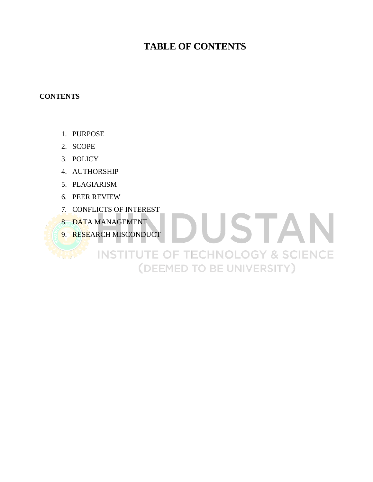### **TABLE OF CONTENTS**

DUSTAN

**INSTITUTE OF TECHNOLOGY & SCIENCE** 

(DEEMED TO BE UNIVERSITY)

#### **CONTENTS**

- 1. PURPOSE
- 2. SCOPE
- 3. POLICY
- 4. AUTHORSHIP
- 5. PLAGIARISM
- 6. PEER REVIEW
- 7. CONFLICTS OF INTEREST
- 8. DATA MANAGEMENT
- 9. RESEARCH MISCONDUCT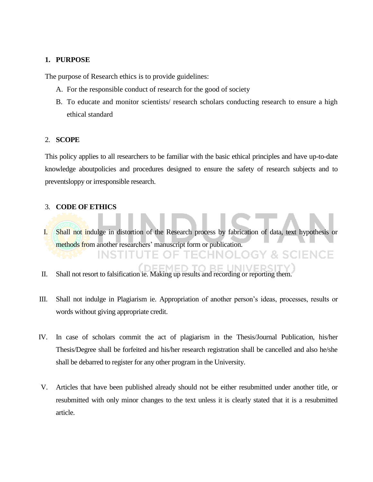#### **1. PURPOSE**

The purpose of Research ethics is to provide guidelines:

- A. For the responsible conduct of research for the good of society
- B. To educate and monitor scientists/ research scholars conducting research to ensure a high ethical standard

#### 2. **SCOPE**

This policy applies to all researchers to be familiar with the basic ethical principles and have up-to-date knowledge aboutpolicies and procedures designed to ensure the safety of research subjects and to preventsloppy or irresponsible research.

#### 3. **CODE OF ETHICS**

- I. Shall not indulge in distortion of the Research process by fabrication of data, text hypothesis or methods from another researchers' manuscript form or publication.
- II. Shall not resort to falsification ie. Making up results and recording or reporting them.
- III. Shall not indulge in Plagiarism ie. Appropriation of another person"s ideas, processes, results or words without giving appropriate credit.
- IV. In case of scholars commit the act of plagiarism in the Thesis/Journal Publication, his/her Thesis/Degree shall be forfeited and his/her research registration shall be cancelled and also he/she shall be debarred to register for any other program in the University.
- V. Articles that have been published already should not be either resubmitted under another title, or resubmitted with only minor changes to the text unless it is clearly stated that it is a resubmitted article.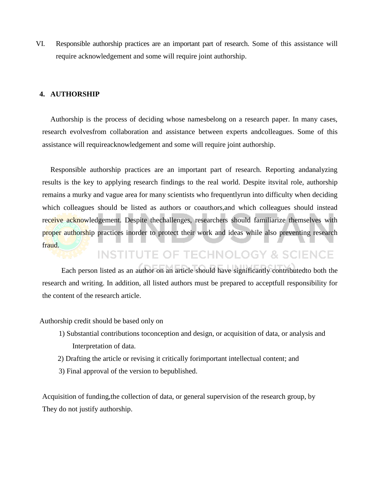VI. Responsible authorship practices are an important part of research. Some of this assistance will require acknowledgement and some will require joint authorship.

#### **4. AUTHORSHIP**

Authorship is the process of deciding whose namesbelong on a research paper. In many cases, research evolvesfrom collaboration and assistance between experts andcolleagues. Some of this assistance will requireacknowledgement and some will require joint authorship.

Responsible authorship practices are an important part of research. Reporting andanalyzing results is the key to applying research findings to the real world. Despite itsvital role, authorship remains a murky and vague area for many scientists who frequentlyrun into difficulty when deciding which colleagues should be listed as authors or coauthors,and which colleagues should instead receive acknowledgement. Despite the challenges, researchers should familiarize themselves with proper authorship practices inorder to protect their work and ideas while also preventing research fraud.

## **INSTITUTE OF TECHNOLOGY & SCIENCE** Each person listed as an author on an article should have significantly contributedto both the

research and writing. In addition, all listed authors must be prepared to acceptfull responsibility for the content of the research article.

Authorship credit should be based only on

- 1) Substantial contributions toconception and design, or acquisition of data, or analysis and Interpretation of data.
- 2) Drafting the article or revising it critically forimportant intellectual content; and
- 3) Final approval of the version to bepublished.

Acquisition of funding,the collection of data, or general supervision of the research group, by They do not justify authorship.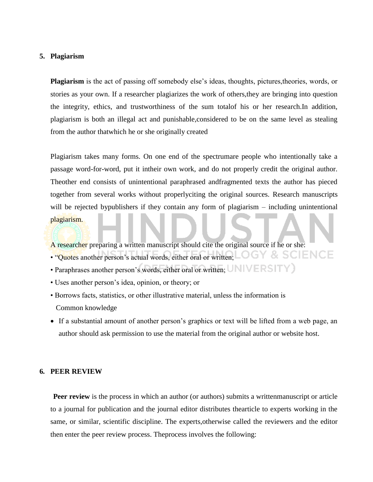#### **5. Plagiarism**

**Plagiarism** is the act of passing off somebody else's ideas, thoughts, pictures, theories, words, or stories as your own. If a researcher plagiarizes the work of others,they are bringing into question the integrity, ethics, and trustworthiness of the sum totalof his or her research.In addition, plagiarism is both an illegal act and punishable,considered to be on the same level as stealing from the author thatwhich he or she originally created

Plagiarism takes many forms. On one end of the spectrumare people who intentionally take a passage word-for-word, put it intheir own work, and do not properly credit the original author. Theother end consists of unintentional paraphrased andfragmented texts the author has pieced together from several works without properlyciting the original sources. Research manuscripts will be rejected bypublishers if they contain any form of plagiarism – including unintentional plagiarism.

**Y & SCIENCE** 

G

A researcher preparing a written manuscript should cite the original source if he or she:

- "Quotes another person"s actual words, either oral or written;
- Paraphrases another person's words, either oral or written;  $UNIVERSIT$
- Uses another person"s idea, opinion, or theory; or
- Borrows facts, statistics, or other illustrative material, unless the information is Common knowledge
- If a substantial amount of another person's graphics or text will be lifted from a web page, an author should ask permission to use the material from the original author or website host.

#### **6. PEER REVIEW**

**Peer review** is the process in which an author (or authors) submits a writtenmanuscript or article to a journal for publication and the journal editor distributes thearticle to experts working in the same, or similar, scientific discipline. The experts,otherwise called the reviewers and the editor then enter the peer review process. Theprocess involves the following: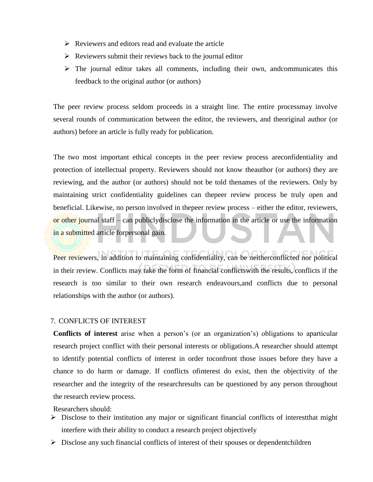- $\triangleright$  Reviewers and editors read and evaluate the article
- $\triangleright$  Reviewers submit their reviews back to the journal editor
- $\triangleright$  The journal editor takes all comments, including their own, and communicates this feedback to the original author (or authors)

The peer review process seldom proceeds in a straight line. The entire processmay involve several rounds of communication between the editor, the reviewers, and theoriginal author (or authors) before an article is fully ready for publication.

The two most important ethical concepts in the peer review process areconfidentiality and protection of intellectual property. Reviewers should not know theauthor (or authors) they are reviewing, and the author (or authors) should not be told thenames of the reviewers. Only by maintaining strict confidentiality guidelines can thepeer review process be truly open and beneficial. Likewise, no person involved in thepeer review process – either the editor, reviewers, or other journal staff – can publiclydisclose the information in the article or use the information in a submitted article forpersonal gain.

Peer reviewers, in addition to maintaining confidentiality, can be neitherconflicted nor political in their review. Conflicts may take the form of financial conflictswith the results, conflicts if the research is too similar to their own research endeavours,and conflicts due to personal relationships with the author (or authors).

#### 7. CONFLICTS OF INTEREST

**Conflicts of interest** arise when a person"s (or an organization"s) obligations to aparticular research project conflict with their personal interests or obligations.A researcher should attempt to identify potential conflicts of interest in order toconfront those issues before they have a chance to do harm or damage. If conflicts ofinterest do exist, then the objectivity of the researcher and the integrity of the researchresults can be questioned by any person throughout the research review process.

Researchers should:

- $\triangleright$  Disclose to their institution any major or significant financial conflicts of interest that might interfere with their ability to conduct a research project objectively
- $\triangleright$  Disclose any such financial conflicts of interest of their spouses or dependentchildren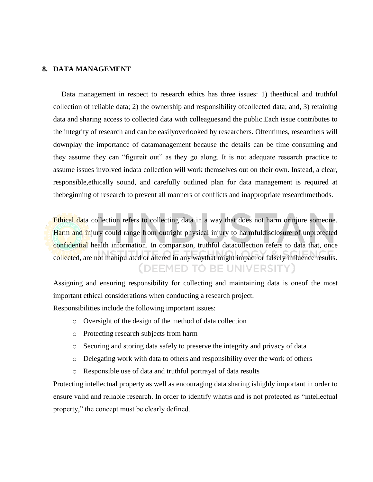#### **8. DATA MANAGEMENT**

Data management in respect to research ethics has three issues: 1) theethical and truthful collection of reliable data; 2) the ownership and responsibility ofcollected data; and, 3) retaining data and sharing access to collected data with colleaguesand the public.Each issue contributes to the integrity of research and can be easilyoverlooked by researchers. Oftentimes, researchers will downplay the importance of datamanagement because the details can be time consuming and they assume they can "figureit out" as they go along. It is not adequate research practice to assume issues involved indata collection will work themselves out on their own. Instead, a clear, responsible,ethically sound, and carefully outlined plan for data management is required at thebeginning of research to prevent all manners of conflicts and inappropriate researchmethods.

Ethical data collection refers to collecting data in a way that does not harm orinjure someone. Harm and injury could range from outright physical injury to harmfuldisclosure of unprotected confidential health information. In comparison, truthful datacollection refers to data that, once collected, are not manipulated or altered in any waythat might impact or falsely influence results. (DEEMED TO BE UNIVERSITY)

Assigning and ensuring responsibility for collecting and maintaining data is oneof the most important ethical considerations when conducting a research project.

Responsibilities include the following important issues:

- o Oversight of the design of the method of data collection
- o Protecting research subjects from harm
- o Securing and storing data safely to preserve the integrity and privacy of data
- o Delegating work with data to others and responsibility over the work of others
- o Responsible use of data and truthful portrayal of data results

Protecting intellectual property as well as encouraging data sharing ishighly important in order to ensure valid and reliable research. In order to identify whatis and is not protected as "intellectual property," the concept must be clearly defined.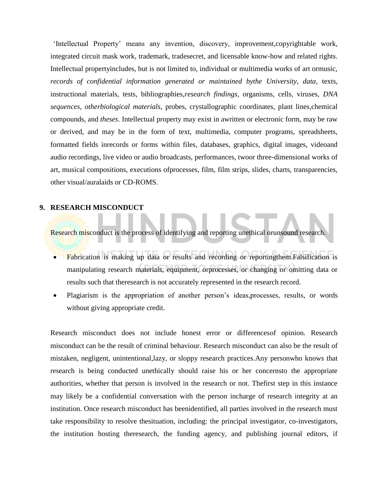"Intellectual Property" means any invention, discovery, improvement,copyrightable work, integrated circuit mask work, trademark, tradesecret, and licensable know-how and related rights. Intellectual propertyincludes, but is not limited to, individual or multimedia works of art ormusic, *records of confidential information generated or maintained bythe University, data*, texts, instructional materials, tests, bibliographies,*research findings*, organisms, cells, viruses, *DNA sequences, otherbiological materials*, probes, crystallographic coordinates, plant lines,chemical compounds, and *theses*. Intellectual property may exist in awritten or electronic form, may be raw or derived, and may be in the form of text, multimedia, computer programs, spreadsheets, formatted fields inrecords or forms within files, databases, graphics, digital images, videoand audio recordings, live video or audio broadcasts, performances, twoor three-dimensional works of art, musical compositions, executions ofprocesses, film, film strips, slides, charts, transparencies, other visual/auralaids or CD-ROMS.

#### **9. RESEARCH MISCONDUCT**

Research misconduct is the process of identifying and reporting unethical orunsound research.

- Fabrication is making up data or results and recording or reporting them. Falsification is manipulating research materials, equipment, orprocesses, or changing or omitting data or results such that theresearch is not accurately represented in the research record.
- Plagiarism is the appropriation of another person"s ideas,processes, results, or words without giving appropriate credit.

Research misconduct does not include honest error or differencesof opinion. Research misconduct can be the result of criminal behaviour. Research misconduct can also be the result of mistaken, negligent, unintentional,lazy, or sloppy research practices.Any personwho knows that research is being conducted unethically should raise his or her concernsto the appropriate authorities, whether that person is involved in the research or not. Thefirst step in this instance may likely be a confidential conversation with the person incharge of research integrity at an institution. Once research misconduct has beenidentified, all parties involved in the research must take responsibility to resolve thesituation, including: the principal investigator, co-investigators, the institution hosting theresearch, the funding agency, and publishing journal editors, if